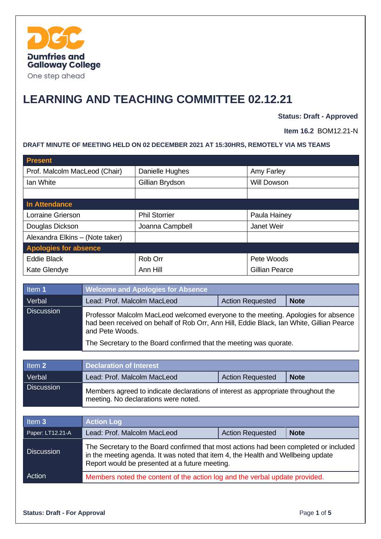

# **LEARNING AND TEACHING COMMITTEE 02.12.21**

**Status: Draft - Approved**

**Item 16.2** BOM12.21-N

### **DRAFT MINUTE OF MEETING HELD ON 02 DECEMBER 2021 AT 15:30HRS, REMOTELY VIA MS TEAMS**

| <b>Present</b>                  |                      |                       |
|---------------------------------|----------------------|-----------------------|
| Prof. Malcolm MacLeod (Chair)   | Danielle Hughes      | Amy Farley            |
| Ian White                       | Gillian Brydson      | Will Dowson           |
|                                 |                      |                       |
| In Attendance                   |                      |                       |
| Lorraine Grierson               | <b>Phil Storrier</b> | Paula Hainey          |
| Douglas Dickson                 | Joanna Campbell      | Janet Weir            |
| Alexandra Elkins - (Note taker) |                      |                       |
| <b>Apologies for absence</b>    |                      |                       |
| <b>Eddie Black</b>              | Rob Orr              | Pete Woods            |
| Kate Glendye                    | Ann Hill             | <b>Gillian Pearce</b> |

| Item 1            | <b>Welcome and Apologies for Absence</b>                                                                                                                                                         |                         |             |
|-------------------|--------------------------------------------------------------------------------------------------------------------------------------------------------------------------------------------------|-------------------------|-------------|
| Verbal            | Lead: Prof. Malcolm MacLeod                                                                                                                                                                      | <b>Action Requested</b> | <b>Note</b> |
| <b>Discussion</b> | Professor Malcolm MacLeod welcomed everyone to the meeting. Apologies for absence<br>had been received on behalf of Rob Orr, Ann Hill, Eddie Black, Ian White, Gillian Pearce<br>and Pete Woods. |                         |             |
|                   | The Secretary to the Board confirmed that the meeting was quorate.                                                                                                                               |                         |             |

| Item 2            | <b>Declaration of Interest</b>                                                                                            |                         |             |
|-------------------|---------------------------------------------------------------------------------------------------------------------------|-------------------------|-------------|
| Verbal            | Lead: Prof. Malcolm MacLeod                                                                                               | <b>Action Requested</b> | <b>Note</b> |
| <b>Discussion</b> | Members agreed to indicate declarations of interest as appropriate throughout the<br>meeting. No declarations were noted. |                         |             |

| Item 3            | <b>Action Log</b>                                                                                                                                                                                                           |  |  |
|-------------------|-----------------------------------------------------------------------------------------------------------------------------------------------------------------------------------------------------------------------------|--|--|
| Paper: LT12.21-A  | Lead: Prof. Malcolm MacLeod<br><b>Action Requested</b><br><b>Note</b>                                                                                                                                                       |  |  |
| <b>Discussion</b> | The Secretary to the Board confirmed that most actions had been completed or included<br>in the meeting agenda. It was noted that item 4, the Health and Wellbeing update<br>Report would be presented at a future meeting. |  |  |
| Action            | Members noted the content of the action log and the verbal update provided.                                                                                                                                                 |  |  |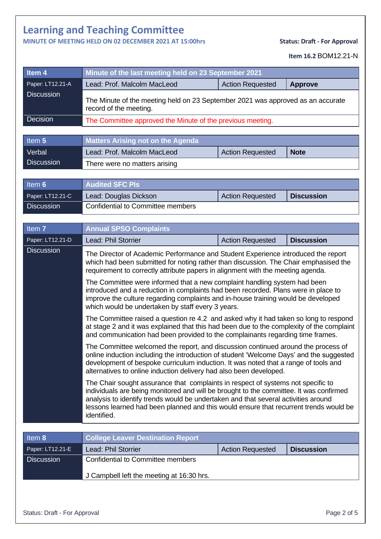### **MINUTE OF MEETING HELD ON 02 DECEMBER 2021 AT 15:00hrs Status: Draft - For Approval**

**Item 16.2** BOM12.21-N

| Item <sub>4</sub> | Minute of the last meeting held on 23 September 2021                                                      |                         |             |  |
|-------------------|-----------------------------------------------------------------------------------------------------------|-------------------------|-------------|--|
| Paper: LT12.21-A  | <b>Action Requested</b><br>Lead: Prof. Malcolm MacLeod<br><b>Approve</b>                                  |                         |             |  |
| <b>Discussion</b> | The Minute of the meeting held on 23 September 2021 was approved as an accurate<br>record of the meeting. |                         |             |  |
| <b>Decision</b>   | The Committee approved the Minute of the previous meeting.                                                |                         |             |  |
|                   |                                                                                                           |                         |             |  |
| Item 5            | <b>Matters Arising not on the Agenda</b>                                                                  |                         |             |  |
| Verbal            | Lead: Prof. Malcolm MacLeod                                                                               | <b>Action Requested</b> | <b>Note</b> |  |
| <b>Discussion</b> | There were no matters arising                                                                             |                         |             |  |

| Item 6            | <b>Audited SFC PIs</b>            |                         |                   |
|-------------------|-----------------------------------|-------------------------|-------------------|
| Paper: LT12.21-C  | Lead: Douglas Dickson             | <b>Action Requested</b> | <b>Discussion</b> |
| <b>Discussion</b> | Confidential to Committee members |                         |                   |

| Item <sub>7</sub> | <b>Annual SPSO Complaints</b>                                                                                                                                                                                                                                                                                                                                                                                                                                                                                                                                                                                                                                                                                                                                                                                                                                                                                                                                                                                                                                                                                                                                                                                                                                                                                                                                                                                                                                                                                                                                             |                         |                   |  |  |
|-------------------|---------------------------------------------------------------------------------------------------------------------------------------------------------------------------------------------------------------------------------------------------------------------------------------------------------------------------------------------------------------------------------------------------------------------------------------------------------------------------------------------------------------------------------------------------------------------------------------------------------------------------------------------------------------------------------------------------------------------------------------------------------------------------------------------------------------------------------------------------------------------------------------------------------------------------------------------------------------------------------------------------------------------------------------------------------------------------------------------------------------------------------------------------------------------------------------------------------------------------------------------------------------------------------------------------------------------------------------------------------------------------------------------------------------------------------------------------------------------------------------------------------------------------------------------------------------------------|-------------------------|-------------------|--|--|
| Paper: LT12.21-D  | <b>Discussion</b><br><b>Lead: Phil Storrier</b><br><b>Action Requested</b>                                                                                                                                                                                                                                                                                                                                                                                                                                                                                                                                                                                                                                                                                                                                                                                                                                                                                                                                                                                                                                                                                                                                                                                                                                                                                                                                                                                                                                                                                                |                         |                   |  |  |
| <b>Discussion</b> | The Director of Academic Performance and Student Experience introduced the report<br>which had been submitted for noting rather than discussion. The Chair emphasised the<br>requirement to correctly attribute papers in alignment with the meeting agenda.<br>The Committee were informed that a new complaint handling system had been<br>introduced and a reduction in complaints had been recorded. Plans were in place to<br>improve the culture regarding complaints and in-house training would be developed<br>which would be undertaken by staff every 3 years.<br>The Committee raised a question re 4.2 and asked why it had taken so long to respond<br>at stage 2 and it was explained that this had been due to the complexity of the complaint<br>and communication had been provided to the complainants regarding time frames.<br>The Committee welcomed the report, and discussion continued around the process of<br>online induction including the introduction of student 'Welcome Days' and the suggested<br>development of bespoke curriculum induction. It was noted that a range of tools and<br>alternatives to online induction delivery had also been developed.<br>The Chair sought assurance that complaints in respect of systems not specific to<br>individuals are being monitored and will be brought to the committee. It was confirmed<br>analysis to identify trends would be undertaken and that several activities around<br>lessons learned had been planned and this would ensure that recurrent trends would be<br>identified. |                         |                   |  |  |
|                   |                                                                                                                                                                                                                                                                                                                                                                                                                                                                                                                                                                                                                                                                                                                                                                                                                                                                                                                                                                                                                                                                                                                                                                                                                                                                                                                                                                                                                                                                                                                                                                           |                         |                   |  |  |
|                   |                                                                                                                                                                                                                                                                                                                                                                                                                                                                                                                                                                                                                                                                                                                                                                                                                                                                                                                                                                                                                                                                                                                                                                                                                                                                                                                                                                                                                                                                                                                                                                           |                         |                   |  |  |
|                   |                                                                                                                                                                                                                                                                                                                                                                                                                                                                                                                                                                                                                                                                                                                                                                                                                                                                                                                                                                                                                                                                                                                                                                                                                                                                                                                                                                                                                                                                                                                                                                           |                         |                   |  |  |
|                   |                                                                                                                                                                                                                                                                                                                                                                                                                                                                                                                                                                                                                                                                                                                                                                                                                                                                                                                                                                                                                                                                                                                                                                                                                                                                                                                                                                                                                                                                                                                                                                           |                         |                   |  |  |
|                   |                                                                                                                                                                                                                                                                                                                                                                                                                                                                                                                                                                                                                                                                                                                                                                                                                                                                                                                                                                                                                                                                                                                                                                                                                                                                                                                                                                                                                                                                                                                                                                           |                         |                   |  |  |
| Item 8            | <b>College Leaver Destination Report</b>                                                                                                                                                                                                                                                                                                                                                                                                                                                                                                                                                                                                                                                                                                                                                                                                                                                                                                                                                                                                                                                                                                                                                                                                                                                                                                                                                                                                                                                                                                                                  |                         |                   |  |  |
| Paper: LT12.21-E  | Lead: Phil Storrier                                                                                                                                                                                                                                                                                                                                                                                                                                                                                                                                                                                                                                                                                                                                                                                                                                                                                                                                                                                                                                                                                                                                                                                                                                                                                                                                                                                                                                                                                                                                                       | <b>Action Requested</b> | <b>Discussion</b> |  |  |
| <b>Discussion</b> | <b>Confidential to Committee members</b>                                                                                                                                                                                                                                                                                                                                                                                                                                                                                                                                                                                                                                                                                                                                                                                                                                                                                                                                                                                                                                                                                                                                                                                                                                                                                                                                                                                                                                                                                                                                  |                         |                   |  |  |
|                   | J Campbell left the meeting at 16:30 hrs.                                                                                                                                                                                                                                                                                                                                                                                                                                                                                                                                                                                                                                                                                                                                                                                                                                                                                                                                                                                                                                                                                                                                                                                                                                                                                                                                                                                                                                                                                                                                 |                         |                   |  |  |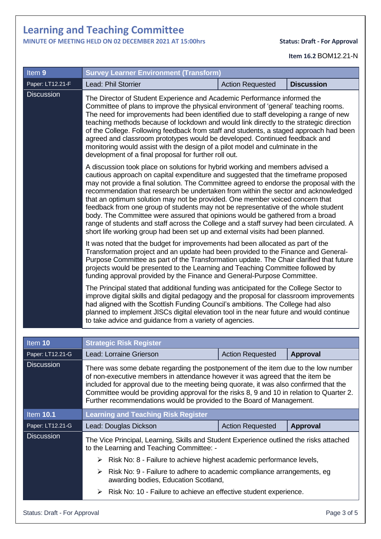## **MINUTE OF MEETING HELD ON 02 DECEMBER 2021 AT 15:00hrs Status: Draft - For Approval**

```
Item 16.2 BOM12.21-N
```

| Item 9                       | <b>Survey Learner Environment (Transform)</b>                                                                                                                                                                                                                                                                                                                                                                                                                                                                                                                                                                                                                                                                                                                                             |                         |                   |  |
|------------------------------|-------------------------------------------------------------------------------------------------------------------------------------------------------------------------------------------------------------------------------------------------------------------------------------------------------------------------------------------------------------------------------------------------------------------------------------------------------------------------------------------------------------------------------------------------------------------------------------------------------------------------------------------------------------------------------------------------------------------------------------------------------------------------------------------|-------------------------|-------------------|--|
| Paper: LT12.21-F             | Lead: Phil Storrier                                                                                                                                                                                                                                                                                                                                                                                                                                                                                                                                                                                                                                                                                                                                                                       | <b>Action Requested</b> | <b>Discussion</b> |  |
| <b>Discussion</b>            | The Director of Student Experience and Academic Performance informed the<br>Committee of plans to improve the physical environment of 'general' teaching rooms.<br>The need for improvements had been identified due to staff developing a range of new<br>teaching methods because of lockdown and would link directly to the strategic direction<br>of the College. Following feedback from staff and students, a staged approach had been<br>agreed and classroom prototypes would be developed. Continued feedback and<br>monitoring would assist with the design of a pilot model and culminate in the<br>development of a final proposal for further roll out.                                                                                                                      |                         |                   |  |
|                              | A discussion took place on solutions for hybrid working and members advised a<br>cautious approach on capital expenditure and suggested that the timeframe proposed<br>may not provide a final solution. The Committee agreed to endorse the proposal with the<br>recommendation that research be undertaken from within the sector and acknowledged<br>that an optimum solution may not be provided. One member voiced concern that<br>feedback from one group of students may not be representative of the whole student<br>body. The Committee were assured that opinions would be gathered from a broad<br>range of students and staff across the College and a staff survey had been circulated. A<br>short life working group had been set up and external visits had been planned. |                         |                   |  |
|                              | It was noted that the budget for improvements had been allocated as part of the<br>Transformation project and an update had been provided to the Finance and General-<br>Purpose Committee as part of the Transformation update. The Chair clarified that future<br>projects would be presented to the Learning and Teaching Committee followed by<br>funding approval provided by the Finance and General-Purpose Committee.                                                                                                                                                                                                                                                                                                                                                             |                         |                   |  |
|                              | The Principal stated that additional funding was anticipated for the College Sector to<br>improve digital skills and digital pedagogy and the proposal for classroom improvements<br>had aligned with the Scottish Funding Council's ambitions. The College had also<br>planned to implement JISCs digital elevation tool in the near future and would continue<br>to take advice and guidance from a variety of agencies.                                                                                                                                                                                                                                                                                                                                                                |                         |                   |  |
|                              |                                                                                                                                                                                                                                                                                                                                                                                                                                                                                                                                                                                                                                                                                                                                                                                           |                         |                   |  |
| Item 10<br>Paper: LT12.21-G  | <b>Strategic Risk Register</b><br>ead: Lorraine Grierson                                                                                                                                                                                                                                                                                                                                                                                                                                                                                                                                                                                                                                                                                                                                  |                         |                   |  |
| <b>Discussion</b>            | <b>Action Requested</b><br><b>Approval</b><br>There was some debate regarding the postponement of the item due to the low number<br>of non-executive members in attendance however it was agreed that the item be<br>included for approval due to the meeting being quorate, it was also confirmed that the<br>Committee would be providing approval for the risks 8, 9 and 10 in relation to Quarter 2.<br>Further recommendations would be provided to the Board of Management.                                                                                                                                                                                                                                                                                                         |                         |                   |  |
| <b>Item 10.1</b>             | <b>Learning and Teaching Risk Register</b>                                                                                                                                                                                                                                                                                                                                                                                                                                                                                                                                                                                                                                                                                                                                                |                         |                   |  |
| Paper: LT12.21-G             | Lead: Douglas Dickson                                                                                                                                                                                                                                                                                                                                                                                                                                                                                                                                                                                                                                                                                                                                                                     | <b>Action Requested</b> | Approval          |  |
| <b>Discussion</b>            | The Vice Principal, Learning, Skills and Student Experience outlined the risks attached<br>to the Learning and Teaching Committee: -                                                                                                                                                                                                                                                                                                                                                                                                                                                                                                                                                                                                                                                      |                         |                   |  |
|                              | Risk No: 8 - Failure to achieve highest academic performance levels,<br>➤                                                                                                                                                                                                                                                                                                                                                                                                                                                                                                                                                                                                                                                                                                                 |                         |                   |  |
|                              | Risk No: 9 - Failure to adhere to academic compliance arrangements, eg<br>➤<br>awarding bodies, Education Scotland,                                                                                                                                                                                                                                                                                                                                                                                                                                                                                                                                                                                                                                                                       |                         |                   |  |
|                              | Risk No: 10 - Failure to achieve an effective student experience.                                                                                                                                                                                                                                                                                                                                                                                                                                                                                                                                                                                                                                                                                                                         |                         |                   |  |
| Status: Draft - For Approval |                                                                                                                                                                                                                                                                                                                                                                                                                                                                                                                                                                                                                                                                                                                                                                                           |                         | Page 3 of 5       |  |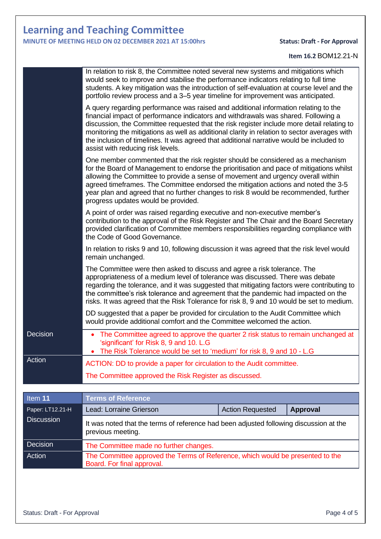## **MINUTE OF MEETING HELD ON 02 DECEMBER 2021 AT 15:00hrs Status: Draft - For Approval**

### **Item 16.2** BOM12.21-N

| Decision<br>Action | The Committee made no further changes.<br>The Committee approved the Terms of Reference, which would be presented to the<br>Board. For final approval.                                                                                                                                                                                                                                                                                                                                                                                                                                                                                                                                                                                                                                  |  |  |
|--------------------|-----------------------------------------------------------------------------------------------------------------------------------------------------------------------------------------------------------------------------------------------------------------------------------------------------------------------------------------------------------------------------------------------------------------------------------------------------------------------------------------------------------------------------------------------------------------------------------------------------------------------------------------------------------------------------------------------------------------------------------------------------------------------------------------|--|--|
| <b>Discussion</b>  | It was noted that the terms of reference had been adjusted following discussion at the<br>previous meeting.                                                                                                                                                                                                                                                                                                                                                                                                                                                                                                                                                                                                                                                                             |  |  |
| Paper: LT12.21-H   | Lead: Lorraine Grierson<br><b>Action Requested</b><br><b>Approval</b>                                                                                                                                                                                                                                                                                                                                                                                                                                                                                                                                                                                                                                                                                                                   |  |  |
| Item 11            | <b>Terms of Reference</b>                                                                                                                                                                                                                                                                                                                                                                                                                                                                                                                                                                                                                                                                                                                                                               |  |  |
|                    |                                                                                                                                                                                                                                                                                                                                                                                                                                                                                                                                                                                                                                                                                                                                                                                         |  |  |
|                    | The Committee approved the Risk Register as discussed.                                                                                                                                                                                                                                                                                                                                                                                                                                                                                                                                                                                                                                                                                                                                  |  |  |
| Action             | ACTION: DD to provide a paper for circulation to the Audit committee.                                                                                                                                                                                                                                                                                                                                                                                                                                                                                                                                                                                                                                                                                                                   |  |  |
| Decision           | • The Committee agreed to approve the quarter 2 risk status to remain unchanged at<br>'significant' for Risk 8, 9 and 10. L.G<br>• The Risk Tolerance would be set to 'medium' for risk 8, 9 and 10 - L.G                                                                                                                                                                                                                                                                                                                                                                                                                                                                                                                                                                               |  |  |
|                    | The Committee were then asked to discuss and agree a risk tolerance. The<br>appropriateness of a medium level of tolerance was discussed. There was debate<br>regarding the tolerance, and it was suggested that mitigating factors were contributing to<br>the committee's risk tolerance and agreement that the pandemic had impacted on the<br>risks. It was agreed that the Risk Tolerance for risk 8, 9 and 10 would be set to medium.<br>DD suggested that a paper be provided for circulation to the Audit Committee which<br>would provide additional comfort and the Committee welcomed the action.                                                                                                                                                                            |  |  |
|                    |                                                                                                                                                                                                                                                                                                                                                                                                                                                                                                                                                                                                                                                                                                                                                                                         |  |  |
|                    | In relation to risks 9 and 10, following discussion it was agreed that the risk level would<br>remain unchanged.                                                                                                                                                                                                                                                                                                                                                                                                                                                                                                                                                                                                                                                                        |  |  |
|                    | One member commented that the risk register should be considered as a mechanism<br>for the Board of Management to endorse the prioritisation and pace of mitigations whilst<br>allowing the Committee to provide a sense of movement and urgency overall within<br>agreed timeframes. The Committee endorsed the mitigation actions and noted the 3-5<br>year plan and agreed that no further changes to risk 8 would be recommended, further<br>progress updates would be provided.<br>A point of order was raised regarding executive and non-executive member's<br>contribution to the approval of the Risk Register and The Chair and the Board Secretary<br>provided clarification of Committee members responsibilities regarding compliance with<br>the Code of Good Governance. |  |  |
|                    |                                                                                                                                                                                                                                                                                                                                                                                                                                                                                                                                                                                                                                                                                                                                                                                         |  |  |
|                    | A query regarding performance was raised and additional information relating to the<br>financial impact of performance indicators and withdrawals was shared. Following a<br>discussion, the Committee requested that the risk register include more detail relating to<br>monitoring the mitigations as well as additional clarity in relation to sector averages with<br>the inclusion of timelines. It was agreed that additional narrative would be included to<br>assist with reducing risk levels.                                                                                                                                                                                                                                                                                |  |  |
|                    | In relation to risk 8, the Committee noted several new systems and mitigations which<br>would seek to improve and stabilise the performance indicators relating to full time<br>students. A key mitigation was the introduction of self-evaluation at course level and the<br>portfolio review process and a 3–5 year timeline for improvement was anticipated.                                                                                                                                                                                                                                                                                                                                                                                                                         |  |  |